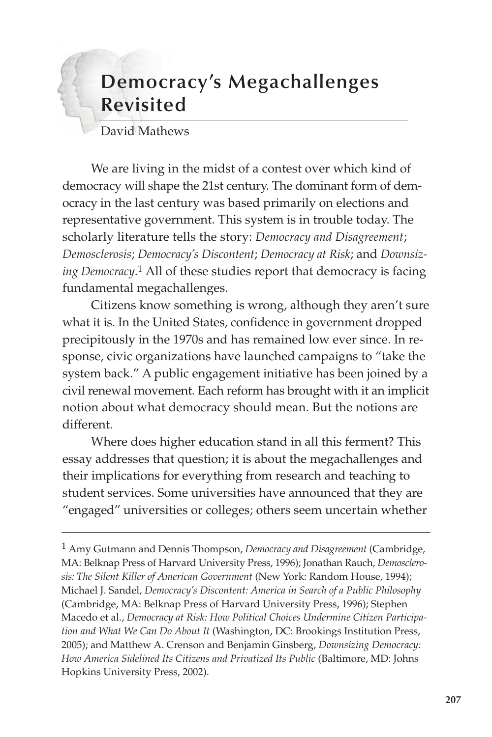## **Democracy's Megachallenges Revisited**

David Mathews

We are living in the midst of a contest over which kind of democracy will shape the 21st century. The dominant form of democracy in the last century was based primarily on elections and representative government. This system is in trouble today. The scholarly literature tells the story: *Democracy and Disagreement*; *Demosclerosis*; *Democracy's Discontent*; *Democracy at Risk*; and *Downsizing Democracy*. <sup>1</sup> All of these studies report that democracy is facing fundamental megachallenges.

Citizens know something is wrong, although they aren't sure what it is. In the United States, confidence in government dropped precipitously in the 1970s and has remained low ever since. In response, civic organizations have launched campaigns to "take the system back." A public engagement initiative has been joined by a civil renewal movement. Each reform has brought with it an implicit notion about what democracy should mean. But the notions are different.

Where does higher education stand in all this ferment? This essay addresses that question; it is about the megachallenges and their implications for everything from research and teaching to student services. Some universities have announced that they are "engaged" universities or colleges; others seem uncertain whether

1 Amy Gutmann and Dennis Thompson, *Democracy and Disagreement* (Cambridge, MA: Belknap Press of Harvard University Press, 1996); Jonathan Rauch, *Demosclerosis: The Silent Killer of American Government* (New York: Random House, 1994); Michael J. Sandel, *Democracy's Discontent: America in Search of a Public Philosophy* (Cambridge, MA: Belknap Press of Harvard University Press, 1996); Stephen Macedo et al., *Democracy at Risk: How Political Choices Undermine Citizen Participation and What We Can Do About It* (Washington, DC: Brookings Institution Press, 2005); and Matthew A. Crenson and Benjamin Ginsberg, *Downsizing Democracy: How America Sidelined Its Citizens and Privatized Its Public* (Baltimore, MD: Johns Hopkins University Press, 2002).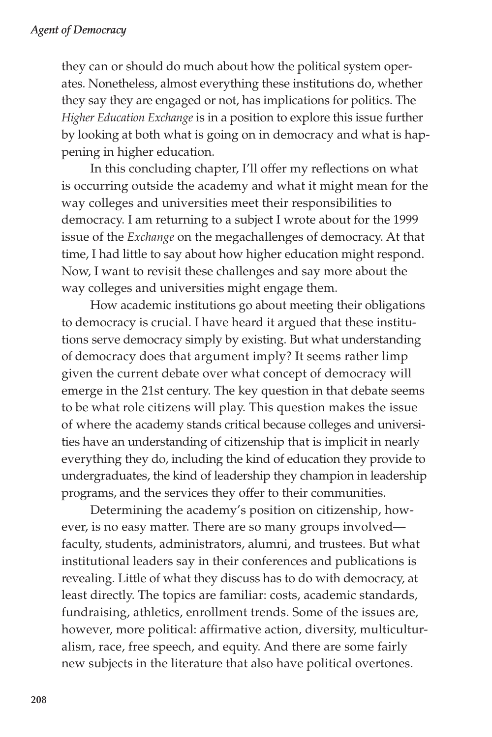they can or should do much about how the political system operates. Nonetheless, almost everything these institutions do, whether they say they are engaged or not, has implications for politics. The *Higher Education Exchange* is in a position to explore this issue further by looking at both what is going on in democracy and what is happening in higher education.

In this concluding chapter, I'll offer my reflections on what is occurring outside the academy and what it might mean for the way colleges and universities meet their responsibilities to democracy. I am returning to a subject I wrote about for the 1999 issue of the *Exchange* on the megachallenges of democracy. At that time, I had little to say about how higher education might respond. Now, I want to revisit these challenges and say more about the way colleges and universities might engage them.

How academic institutions go about meeting their obligations to democracy is crucial. I have heard it argued that these institutions serve democracy simply by existing. But what understanding of democracy does that argument imply? It seems rather limp given the current debate over what concept of democracy will emerge in the 21st century. The key question in that debate seems to be what role citizens will play. This question makes the issue of where the academy stands critical because colleges and universities have an understanding of citizenship that is implicit in nearly everything they do, including the kind of education they provide to undergraduates, the kind of leadership they champion in leadership programs, and the services they offer to their communities.

Determining the academy's position on citizenship, however, is no easy matter. There are so many groups involved faculty, students, administrators, alumni, and trustees. But what institutional leaders say in their conferences and publications is revealing. Little of what they discuss has to do with democracy, at least directly. The topics are familiar: costs, academic standards, fundraising, athletics, enrollment trends. Some of the issues are, however, more political: affirmative action, diversity, multiculturalism, race, free speech, and equity. And there are some fairly new subjects in the literature that also have political overtones.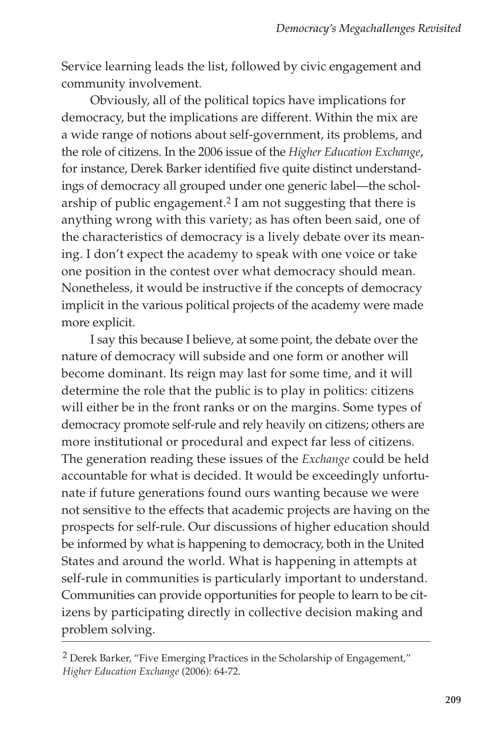Service learning leads the list, followed by civic engagement and community involvement.

Obviously, all of the political topics have implications for democracy, but the implications are different. Within the mix are a wide range of notions about self-government, its problems, and the role of citizens. In the 2006 issue of the *Higher Education Exchange*, for instance, Derek Barker identified five quite distinct understandings of democracy all grouped under one generic label—the scholarship of public engagement. <sup>2</sup> I am not suggesting that there is anything wrong with this variety; as has often been said, one of the characteristics of democracy is a lively debate over its meaning. I don't expect the academy to speak with one voice or take one position in the contest over what democracy should mean. Nonetheless, it would be instructive if the concepts of democracy implicit in the various political projects of the academy were made more explicit.

I say this because I believe, at some point, the debate over the nature of democracy will subside and one form or another will become dominant. Its reign may last for some time, and it will determine the role that the public is to play in politics: citizens will either be in the front ranks or on the margins. Some types of democracy promote self-rule and rely heavily on citizens; others are more institutional or procedural and expect far less of citizens. The generation reading these issues of the *Exchange* could be held accountable for what is decided. It would be exceedingly unfortunate if future generations found ours wanting because we were not sensitive to the effects that academic projects are having on the prospects for self-rule. Our discussions of higher education should be informed by what is happening to democracy, both in the United States and around the world. What is happening in attempts at self-rule in communities is particularly important to understand. Communities can provide opportunities for people to learn to be citizens by participating directly in collective decision making and problem solving.

<sup>2</sup> Derek Barker, "Five Emerging Practices in the Scholarship of Engagement," *Higher Education Exchange* (2006): 64-72.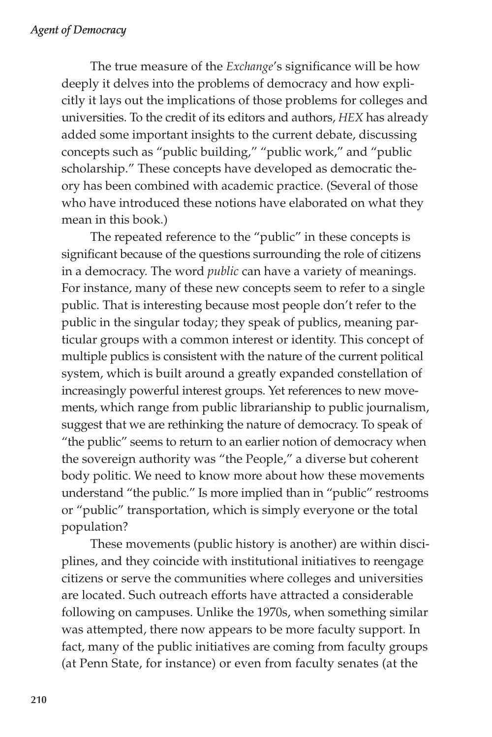## *Agent of Democracy*

The true measure of the *Exchange*'s significance will be how deeply it delves into the problems of democracy and how explicitly it lays out the implications of those problems for colleges and universities. To the credit of its editors and authors, *HEX* has already added some important insights to the current debate, discussing concepts such as "public building," "public work," and "public scholarship." These concepts have developed as democratic theory has been combined with academic practice. (Several of those who have introduced these notions have elaborated on what they mean in this book.)

The repeated reference to the "public" in these concepts is significant because of the questions surrounding the role of citizens in a democracy. The word *public* can have a variety of meanings. For instance, many of these new concepts seem to refer to a single public. That is interesting because most people don't refer to the public in the singular today; they speak of publics, meaning particular groups with a common interest or identity. This concept of multiple publics is consistent with the nature of the current political system, which is built around a greatly expanded constellation of increasingly powerful interest groups. Yet references to new movements, which range from public librarianship to public journalism, suggest that we are rethinking the nature of democracy. To speak of "the public" seems to return to an earlier notion of democracy when the sovereign authority was "the People," a diverse but coherent body politic. We need to know more about how these movements understand "the public." Is more implied than in "public" restrooms or "public" transportation, which is simply everyone or the total population?

These movements (public history is another) are within disciplines, and they coincide with institutional initiatives to reengage citizens or serve the communities where colleges and universities are located. Such outreach efforts have attracted a considerable following on campuses. Unlike the 1970s, when something similar was attempted, there now appears to be more faculty support. In fact, many of the public initiatives are coming from faculty groups (at Penn State, for instance) or even from faculty senates (at the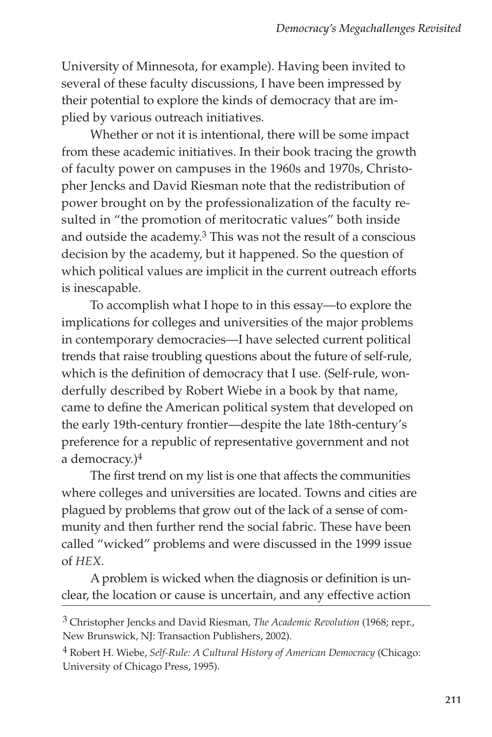University of Minnesota, for example). Having been invited to several of these faculty discussions, I have been impressed by their potential to explore the kinds of democracy that are implied by various outreach initiatives.

Whether or not it is intentional, there will be some impact from these academic initiatives. In their book tracing the growth of faculty power on campuses in the 1960s and 1970s, Christopher Jencks and David Riesman note that the redistribution of power brought on by the professionalization of the faculty resulted in "the promotion of meritocratic values" both inside and outside the academy. <sup>3</sup> This was not the result of a conscious decision by the academy, but it happened. So the question of which political values are implicit in the current outreach efforts is inescapable.

To accomplish what I hope to in this essay—to explore the implications for colleges and universities of the major problems in contemporary democracies—I have selected current political trends that raise troubling questions about the future of self-rule, which is the definition of democracy that I use. (Self-rule, wonderfully described by Robert Wiebe in a book by that name, came to define the American political system that developed on the early 19th-century frontier—despite the late 18th-century's preference for a republic of representative government and not a democracy.)4

The first trend on my list is one that affects the communities where colleges and universities are located. Towns and cities are plagued by problems that grow out of the lack of a sense of community and then further rend the social fabric. These have been called "wicked" problems and were discussed in the 1999 issue of *HEX*.

A problem is wicked when the diagnosis or definition is unclear, the location or cause is uncertain, and any effective action

<sup>3</sup> Christopher Jencks and David Riesman, *The Academic Revolution* (1968; repr., New Brunswick, NJ: Transaction Publishers, 2002).

<sup>4</sup> Robert H. Wiebe, *Self-Rule: A Cultural History of American Democracy* (Chicago: University of Chicago Press, 1995).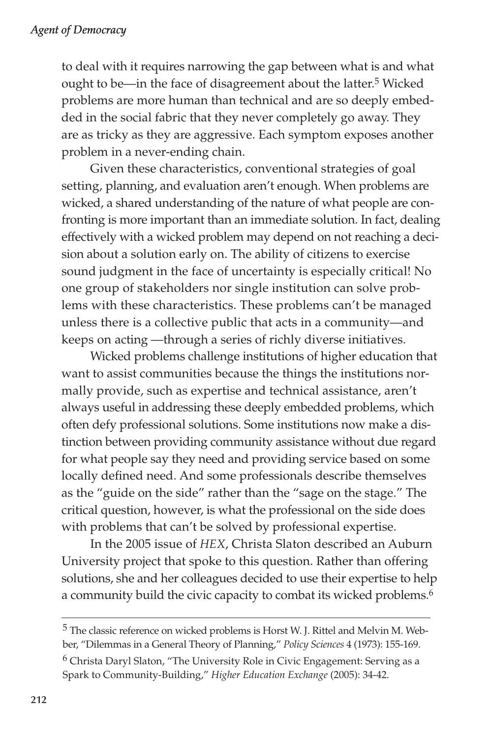to deal with it requires narrowing the gap between what is and what ought to be—in the face of disagreement about the latter. <sup>5</sup> Wicked problems are more human than technical and are so deeply embedded in the social fabric that they never completely go away. They are as tricky as they are aggressive. Each symptom exposes another problem in a never-ending chain.

Given these characteristics, conventional strategies of goal setting, planning, and evaluation aren't enough. When problems are wicked, a shared understanding of the nature of what people are confronting is more important than an immediate solution. In fact, dealing effectively with a wicked problem may depend on not reaching a decision about a solution early on. The ability of citizens to exercise sound judgment in the face of uncertainty is especially critical! No one group of stakeholders nor single institution can solve problems with these characteristics. These problems can't be managed unless there is a collective public that acts in a community—and keeps on acting —through a series of richly diverse initiatives.

Wicked problems challenge institutions of higher education that want to assist communities because the things the institutions normally provide, such as expertise and technical assistance, aren't always useful in addressing these deeply embedded problems, which often defy professional solutions. Some institutions now make a distinction between providing community assistance without due regard for what people say they need and providing service based on some locally defined need. And some professionals describe themselves as the "guide on the side" rather than the "sage on the stage." The critical question, however, is what the professional on the side does with problems that can't be solved by professional expertise.

In the 2005 issue of *HEX*, Christa Slaton described an Auburn University project that spoke to this question. Rather than offering solutions, she and her colleagues decided to use their expertise to help a community build the civic capacity to combat its wicked problems. $^6$ 

<sup>5</sup> The classic reference on wicked problems is Horst W. J. Rittel and Melvin M. Webber, "Dilemmas in a General Theory of Planning," *Policy Sciences* 4 (1973): 155-169.

 $6$  Christa Daryl Slaton, "The University Role in Civic Engagement: Serving as a Spark to Community-Building," *Higher Education Exchange* (2005): 34-42.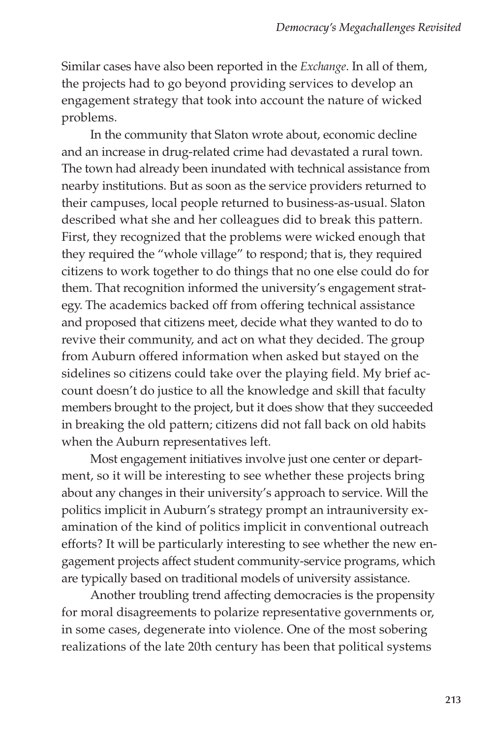Similar cases have also been reported in the *Exchange*. In all of them, the projects had to go beyond providing services to develop an engagement strategy that took into account the nature of wicked problems.

In the community that Slaton wrote about, economic decline and an increase in drug-related crime had devastated a rural town. The town had already been inundated with technical assistance from nearby institutions. But as soon as the service providers returned to their campuses, local people returned to business-as-usual. Slaton described what she and her colleagues did to break this pattern. First, they recognized that the problems were wicked enough that they required the "whole village" to respond; that is, they required citizens to work together to do things that no one else could do for them. That recognition informed the university's engagement strategy. The academics backed off from offering technical assistance and proposed that citizens meet, decide what they wanted to do to revive their community, and act on what they decided. The group from Auburn offered information when asked but stayed on the sidelines so citizens could take over the playing field. My brief account doesn't do justice to all the knowledge and skill that faculty members brought to the project, but it does show that they succeeded in breaking the old pattern; citizens did not fall back on old habits when the Auburn representatives left.

Most engagement initiatives involve just one center or department, so it will be interesting to see whether these projects bring about any changes in their university's approach to service. Will the politics implicit in Auburn's strategy prompt an intrauniversity examination of the kind of politics implicit in conventional outreach efforts? It will be particularly interesting to see whether the new engagement projects affect student community-service programs, which are typically based on traditional models of university assistance.

Another troubling trend affecting democracies is the propensity for moral disagreements to polarize representative governments or, in some cases, degenerate into violence. One of the most sobering realizations of the late 20th century has been that political systems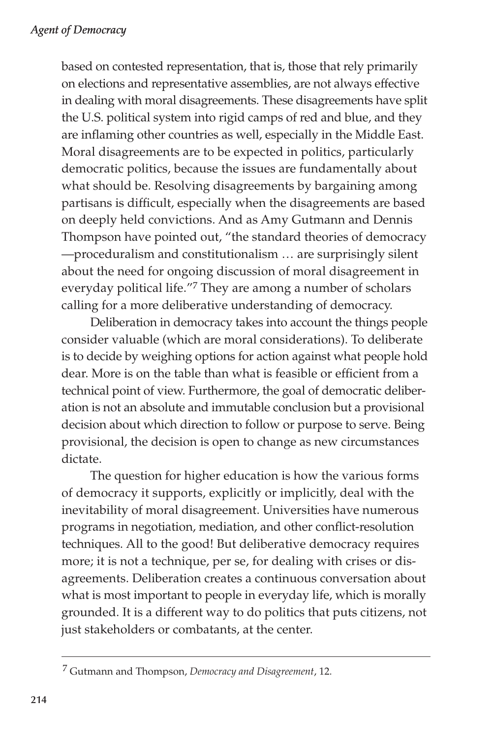based on contested representation, that is, those that rely primarily on elections and representative assemblies, are not always effective in dealing with moral disagreements. These disagreements have split the U.S. political system into rigid camps of red and blue, and they are inflaming other countries as well, especially in the Middle East. Moral disagreements are to be expected in politics, particularly democratic politics, because the issues are fundamentally about what should be. Resolving disagreements by bargaining among partisans is difficult, especially when the disagreements are based on deeply held convictions. And as Amy Gutmann and Dennis Thompson have pointed out, "the standard theories of democracy —proceduralism and constitutionalism … are surprisingly silent about the need for ongoing discussion of moral disagreement in everyday political life."7 They are among a number of scholars calling for a more deliberative understanding of democracy.

Deliberation in democracy takes into account the things people consider valuable (which are moral considerations). To deliberate is to decide by weighing options for action against what people hold dear. More is on the table than what is feasible or efficient from a technical point of view. Furthermore, the goal of democratic deliberation is not an absolute and immutable conclusion but a provisional decision about which direction to follow or purpose to serve. Being provisional, the decision is open to change as new circumstances dictate.

The question for higher education is how the various forms of democracy it supports, explicitly or implicitly, deal with the inevitability of moral disagreement. Universities have numerous programs in negotiation, mediation, and other conflict-resolution techniques. All to the good! But deliberative democracy requires more; it is not a technique, per se, for dealing with crises or disagreements. Deliberation creates a continuous conversation about what is most important to people in everyday life, which is morally grounded. It is a different way to do politics that puts citizens, not just stakeholders or combatants, at the center.

<sup>7</sup> Gutmann and Thompson, *Democracy and Disagreement*, 12.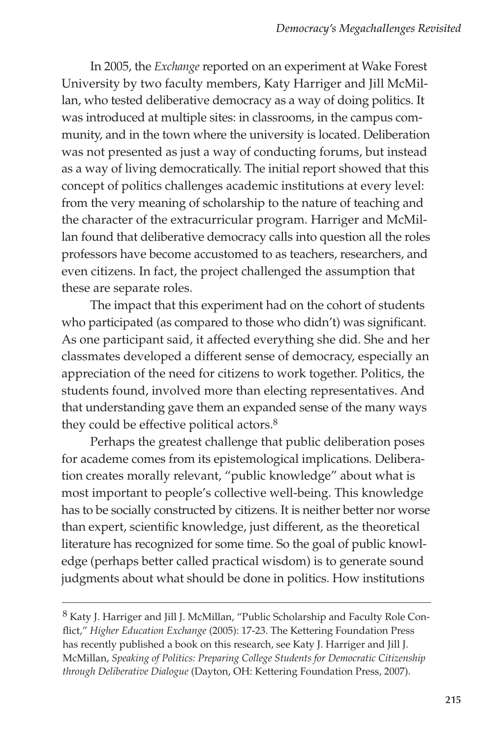In 2005, the *Exchange* reported on an experiment at Wake Forest University by two faculty members, Katy Harriger and Jill McMillan, who tested deliberative democracy as a way of doing politics. It was introduced at multiple sites: in classrooms, in the campus community, and in the town where the university is located. Deliberation was not presented as just a way of conducting forums, but instead as a way of living democratically. The initial report showed that this concept of politics challenges academic institutions at every level: from the very meaning of scholarship to the nature of teaching and the character of the extracurricular program. Harriger and McMillan found that deliberative democracy calls into question all the roles professors have become accustomed to as teachers, researchers, and even citizens. In fact, the project challenged the assumption that these are separate roles.

The impact that this experiment had on the cohort of students who participated (as compared to those who didn't) was significant. As one participant said, it affected everything she did. She and her classmates developed a different sense of democracy, especially an appreciation of the need for citizens to work together. Politics, the students found, involved more than electing representatives. And that understanding gave them an expanded sense of the many ways they could be effective political actors. $8$ 

Perhaps the greatest challenge that public deliberation poses for academe comes from its epistemological implications. Deliberation creates morally relevant, "public knowledge" about what is most important to people's collective well-being. This knowledge has to be socially constructed by citizens. It is neither better nor worse than expert, scientific knowledge, just different, as the theoretical literature has recognized for some time. So the goal of public knowledge (perhaps better called practical wisdom) is to generate sound judgments about what should be done in politics. How institutions

<sup>&</sup>lt;sup>8</sup> Katy J. Harriger and Jill J. McMillan, "Public Scholarship and Faculty Role Conflict," *Higher Education Exchange* (2005): 17-23. The Kettering Foundation Press has recently published a book on this research, see Katy J. Harriger and Jill J. McMillan, *Speaking of Politics: Preparing College Students for Democratic Citizenship through Deliberative Dialogue* (Dayton, OH: Kettering Foundation Press, 2007).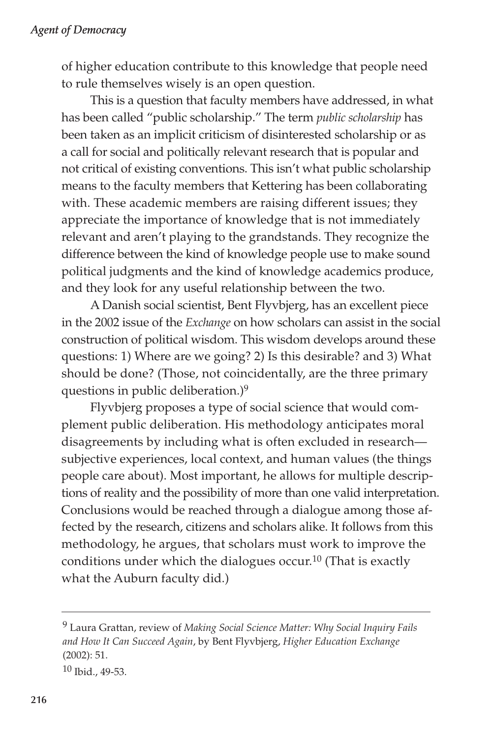of higher education contribute to this knowledge that people need to rule themselves wisely is an open question.

This is a question that faculty members have addressed, in what has been called "public scholarship." The term *public scholarship* has been taken as an implicit criticism of disinterested scholarship or as a call for social and politically relevant research that is popular and not critical of existing conventions. This isn't what public scholarship means to the faculty members that Kettering has been collaborating with. These academic members are raising different issues; they appreciate the importance of knowledge that is not immediately relevant and aren't playing to the grandstands. They recognize the difference between the kind of knowledge people use to make sound political judgments and the kind of knowledge academics produce, and they look for any useful relationship between the two.

A Danish social scientist, Bent Flyvbjerg, has an excellent piece in the 2002 issue of the *Exchange* on how scholars can assist in the social construction of political wisdom. This wisdom develops around these questions: 1) Where are we going? 2) Is this desirable? and 3) What should be done? (Those, not coincidentally, are the three primary questions in public deliberation.)9

Flyvbjerg proposes a type of social science that would complement public deliberation. His methodology anticipates moral disagreements by including what is often excluded in research subjective experiences, local context, and human values (the things people care about). Most important, he allows for multiple descriptions of reality and the possibility of more than one valid interpretation. Conclusions would be reached through a dialogue among those affected by the research, citizens and scholars alike. It follows from this methodology, he argues, that scholars must work to improve the conditions under which the dialogues occur. <sup>10</sup> (That is exactly what the Auburn faculty did.)

<sup>9</sup> Laura Grattan, review of *Making Social Science Matter: Why Social Inquiry Fails and How It Can Succeed Again*, by Bent Flyvbjerg, *Higher Education Exchange* (2002): 51.

<sup>10</sup> Ibid., 49-53.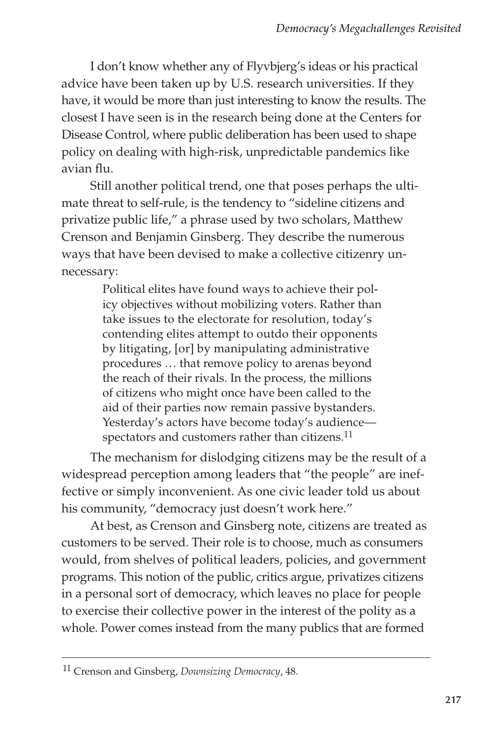I don't know whether any of Flyvbjerg's ideas or his practical advice have been taken up by U.S. research universities. If they have, it would be more than just interesting to know the results. The closest I have seen is in the research being done at the Centers for Disease Control, where public deliberation has been used to shape policy on dealing with high-risk, unpredictable pandemics like avian flu.

Still another political trend, one that poses perhaps the ultimate threat to self-rule, is the tendency to "sideline citizens and privatize public life," a phrase used by two scholars, Matthew Crenson and Benjamin Ginsberg. They describe the numerous ways that have been devised to make a collective citizenry unnecessary:

> Political elites have found ways to achieve their policy objectives without mobilizing voters. Rather than take issues to the electorate for resolution, today's contending elites attempt to outdo their opponents by litigating, [or] by manipulating administrative procedures … that remove policy to arenas beyond the reach of their rivals. In the process, the millions of citizens who might once have been called to the aid of their parties now remain passive bystanders. Yesterday's actors have become today's audience spectators and customers rather than citizens.<sup>11</sup>

The mechanism for dislodging citizens may be the result of a widespread perception among leaders that "the people" are ineffective or simply inconvenient. As one civic leader told us about his community, "democracy just doesn't work here."

At best, as Crenson and Ginsberg note, citizens are treated as customers to be served. Their role is to choose, much as consumers would, from shelves of political leaders, policies, and government programs. This notion of the public, critics argue, privatizes citizens in a personal sort of democracy, which leaves no place for people to exercise their collective power in the interest of the polity as a whole. Power comes instead from the many publics that are formed

<sup>11</sup> Crenson and Ginsberg, *Downsizing Democracy*, 48.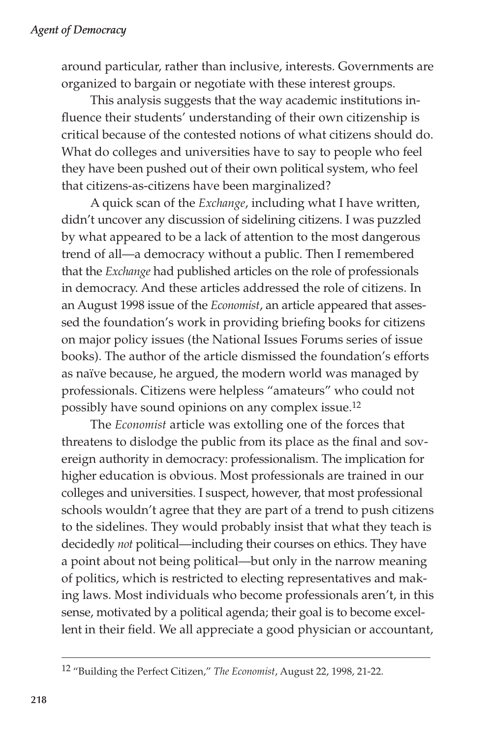around particular, rather than inclusive, interests. Governments are organized to bargain or negotiate with these interest groups.

This analysis suggests that the way academic institutions influence their students' understanding of their own citizenship is critical because of the contested notions of what citizens should do. What do colleges and universities have to say to people who feel they have been pushed out of their own political system, who feel that citizens-as-citizens have been marginalized?

A quick scan of the *Exchange*, including what I have written, didn't uncover any discussion of sidelining citizens. I was puzzled by what appeared to be a lack of attention to the most dangerous trend of all—a democracy without a public. Then I remembered that the *Exchange* had published articles on the role of professionals in democracy. And these articles addressed the role of citizens. In an August 1998 issue of the *Economist*, an article appeared that assessed the foundation's work in providing briefing books for citizens on major policy issues (the National Issues Forums series of issue books). The author of the article dismissed the foundation's efforts as naïve because, he argued, the modern world was managed by professionals. Citizens were helpless "amateurs" who could not possibly have sound opinions on any complex issue. 12

The *Economist* article was extolling one of the forces that threatens to dislodge the public from its place as the final and sovereign authority in democracy: professionalism. The implication for higher education is obvious. Most professionals are trained in our colleges and universities. I suspect, however, that most professional schools wouldn't agree that they are part of a trend to push citizens to the sidelines. They would probably insist that what they teach is decidedly *not* political—including their courses on ethics. They have a point about not being political—but only in the narrow meaning of politics, which is restricted to electing representatives and making laws. Most individuals who become professionals aren't, in this sense, motivated by a political agenda; their goal is to become excellent in their field. We all appreciate a good physician or accountant,

<sup>12</sup> "Building the Perfect Citizen," *The Economist*, August 22, 1998, 21-22.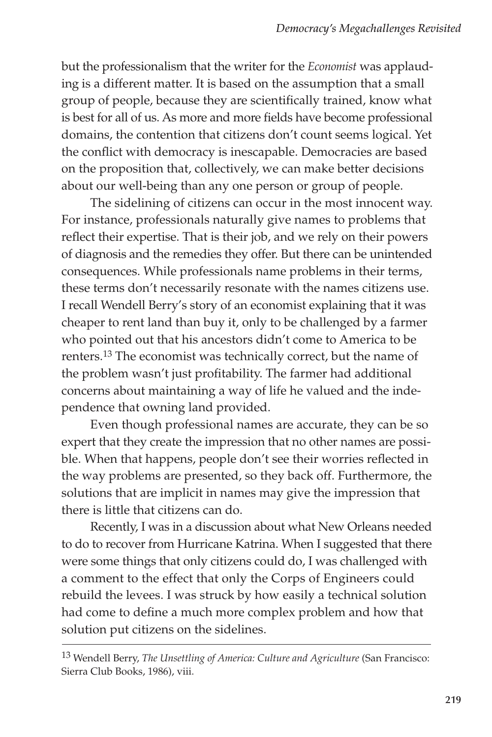but the professionalism that the writer for the *Economist* was applauding is a different matter. It is based on the assumption that a small group of people, because they are scientifically trained, know what is best for all of us. As more and more fields have become professional domains, the contention that citizens don't count seems logical. Yet the conflict with democracy is inescapable. Democracies are based on the proposition that, collectively, we can make better decisions about our well-being than any one person or group of people.

The sidelining of citizens can occur in the most innocent way. For instance, professionals naturally give names to problems that reflect their expertise. That is their job, and we rely on their powers of diagnosis and the remedies they offer. But there can be unintended consequences. While professionals name problems in their terms, these terms don't necessarily resonate with the names citizens use. I recall Wendell Berry's story of an economist explaining that it was cheaper to rent land than buy it, only to be challenged by a farmer who pointed out that his ancestors didn't come to America to be renters. <sup>13</sup> The economist was technically correct, but the name of the problem wasn't just profitability. The farmer had additional concerns about maintaining a way of life he valued and the independence that owning land provided.

Even though professional names are accurate, they can be so expert that they create the impression that no other names are possible. When that happens, people don't see their worries reflected in the way problems are presented, so they back off. Furthermore, the solutions that are implicit in names may give the impression that there is little that citizens can do.

Recently, I was in a discussion about what New Orleans needed to do to recover from Hurricane Katrina. When I suggested that there were some things that only citizens could do, I was challenged with a comment to the effect that only the Corps of Engineers could rebuild the levees. I was struck by how easily a technical solution had come to define a much more complex problem and how that solution put citizens on the sidelines.

<sup>13</sup> Wendell Berry, *The Unsettling of America: Culture and Agriculture* (San Francisco: Sierra Club Books, 1986), viii.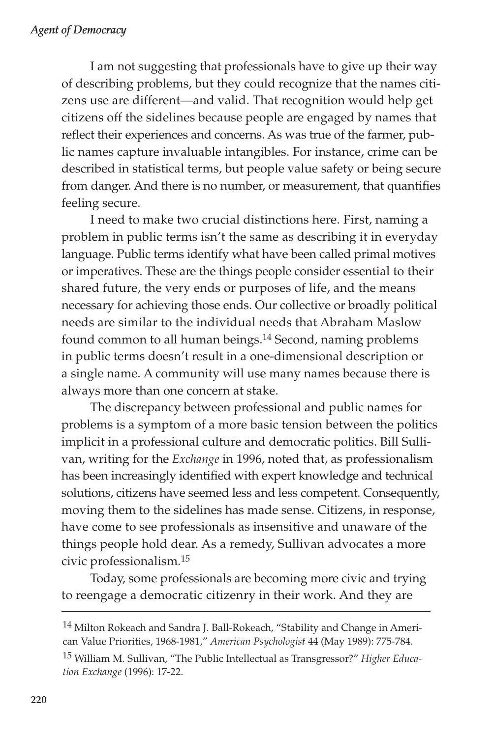I am not suggesting that professionals have to give up their way of describing problems, but they could recognize that the names citizens use are different—and valid. That recognition would help get citizens off the sidelines because people are engaged by names that reflect their experiences and concerns. As was true of the farmer, public names capture invaluable intangibles. For instance, crime can be described in statistical terms, but people value safety or being secure from danger. And there is no number, or measurement, that quantifies feeling secure.

I need to make two crucial distinctions here. First, naming a problem in public terms isn't the same as describing it in everyday language. Public terms identify what have been called primal motives or imperatives. These are the things people consider essential to their shared future, the very ends or purposes of life, and the means necessary for achieving those ends. Our collective or broadly political needs are similar to the individual needs that Abraham Maslow found common to all human beings. <sup>14</sup> Second, naming problems in public terms doesn't result in a one-dimensional description or a single name. A community will use many names because there is always more than one concern at stake.

The discrepancy between professional and public names for problems is a symptom of a more basic tension between the politics implicit in a professional culture and democratic politics. Bill Sullivan, writing for the *Exchange* in 1996, noted that, as professionalism has been increasingly identified with expert knowledge and technical solutions, citizens have seemed less and less competent. Consequently, moving them to the sidelines has made sense. Citizens, in response, have come to see professionals as insensitive and unaware of the things people hold dear. As a remedy, Sullivan advocates a more civic professionalism. 15

Today, some professionals are becoming more civic and trying to reengage a democratic citizenry in their work. And they are

<sup>&</sup>lt;sup>14</sup> Milton Rokeach and Sandra J. Ball-Rokeach, "Stability and Change in American Value Priorities, 1968-1981," *American Psychologist* 44 (May 1989): 775-784.

<sup>15</sup> William M. Sullivan, "The Public Intellectual as Transgressor?" *Higher Education Exchange* (1996): 17-22.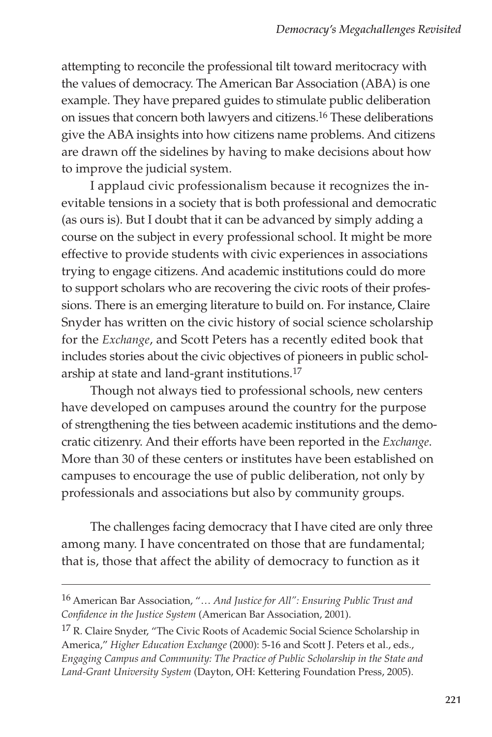attempting to reconcile the professional tilt toward meritocracy with the values of democracy. The American Bar Association (ABA) is one example. They have prepared guides to stimulate public deliberation on issues that concern both lawyers and citizens. <sup>16</sup> These deliberations give the ABA insights into how citizens name problems. And citizens are drawn off the sidelines by having to make decisions about how to improve the judicial system.

I applaud civic professionalism because it recognizes the inevitable tensions in a society that is both professional and democratic (as ours is). But I doubt that it can be advanced by simply adding a course on the subject in every professional school. It might be more effective to provide students with civic experiences in associations trying to engage citizens. And academic institutions could do more to support scholars who are recovering the civic roots of their professions. There is an emerging literature to build on. For instance, Claire Snyder has written on the civic history of social science scholarship for the *Exchange*, and Scott Peters has a recently edited book that includes stories about the civic objectives of pioneers in public scholarship at state and land-grant institutions. 17

Though not always tied to professional schools, new centers have developed on campuses around the country for the purpose of strengthening the ties between academic institutions and the democratic citizenry. And their efforts have been reported in the *Exchange*. More than 30 of these centers or institutes have been established on campuses to encourage the use of public deliberation, not only by professionals and associations but also by community groups.

The challenges facing democracy that I have cited are only three among many. I have concentrated on those that are fundamental; that is, those that affect the ability of democracy to function as it

<sup>16</sup> American Bar Association, "… *And Justice for All": Ensuring Public Trust and Confidence in the Justice System* (American Bar Association, 2001).

<sup>&</sup>lt;sup>17</sup> R. Claire Snyder, "The Civic Roots of Academic Social Science Scholarship in America," *Higher Education Exchange* (2000): 5-16 and Scott J. Peters et al., eds., *Engaging Campus and Community: The Practice of Public Scholarship in the State and Land-Grant University System* (Dayton, OH: Kettering Foundation Press, 2005).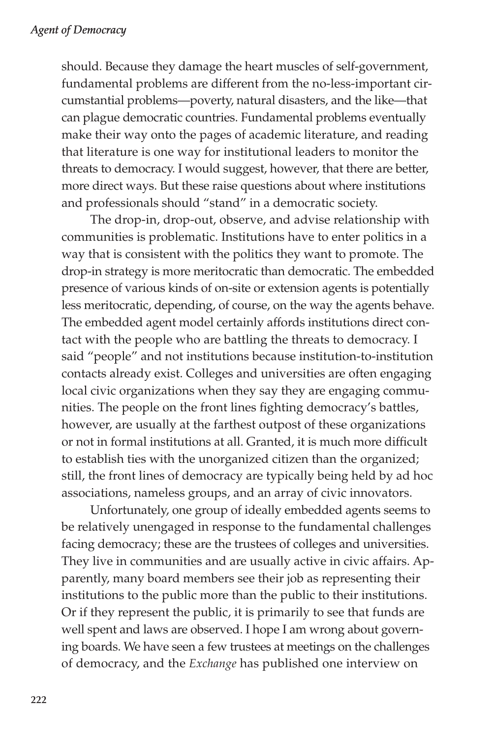should. Because they damage the heart muscles of self-government, fundamental problems are different from the no-less-important circumstantial problems—poverty, natural disasters, and the like—that can plague democratic countries. Fundamental problems eventually make their way onto the pages of academic literature, and reading that literature is one way for institutional leaders to monitor the threats to democracy. I would suggest, however, that there are better, more direct ways. But these raise questions about where institutions and professionals should "stand" in a democratic society.

The drop-in, drop-out, observe, and advise relationship with communities is problematic. Institutions have to enter politics in a way that is consistent with the politics they want to promote. The drop-in strategy is more meritocratic than democratic. The embedded presence of various kinds of on-site or extension agents is potentially less meritocratic, depending, of course, on the way the agents behave. The embedded agent model certainly affords institutions direct contact with the people who are battling the threats to democracy. I said "people" and not institutions because institution-to-institution contacts already exist. Colleges and universities are often engaging local civic organizations when they say they are engaging communities. The people on the front lines fighting democracy's battles, however, are usually at the farthest outpost of these organizations or not in formal institutions at all. Granted, it is much more difficult to establish ties with the unorganized citizen than the organized; still, the front lines of democracy are typically being held by ad hoc associations, nameless groups, and an array of civic innovators.

Unfortunately, one group of ideally embedded agents seems to be relatively unengaged in response to the fundamental challenges facing democracy; these are the trustees of colleges and universities. They live in communities and are usually active in civic affairs. Apparently, many board members see their job as representing their institutions to the public more than the public to their institutions. Or if they represent the public, it is primarily to see that funds are well spent and laws are observed. I hope I am wrong about governing boards. We have seen a few trustees at meetings on the challenges of democracy, and the *Exchange* has published one interview on